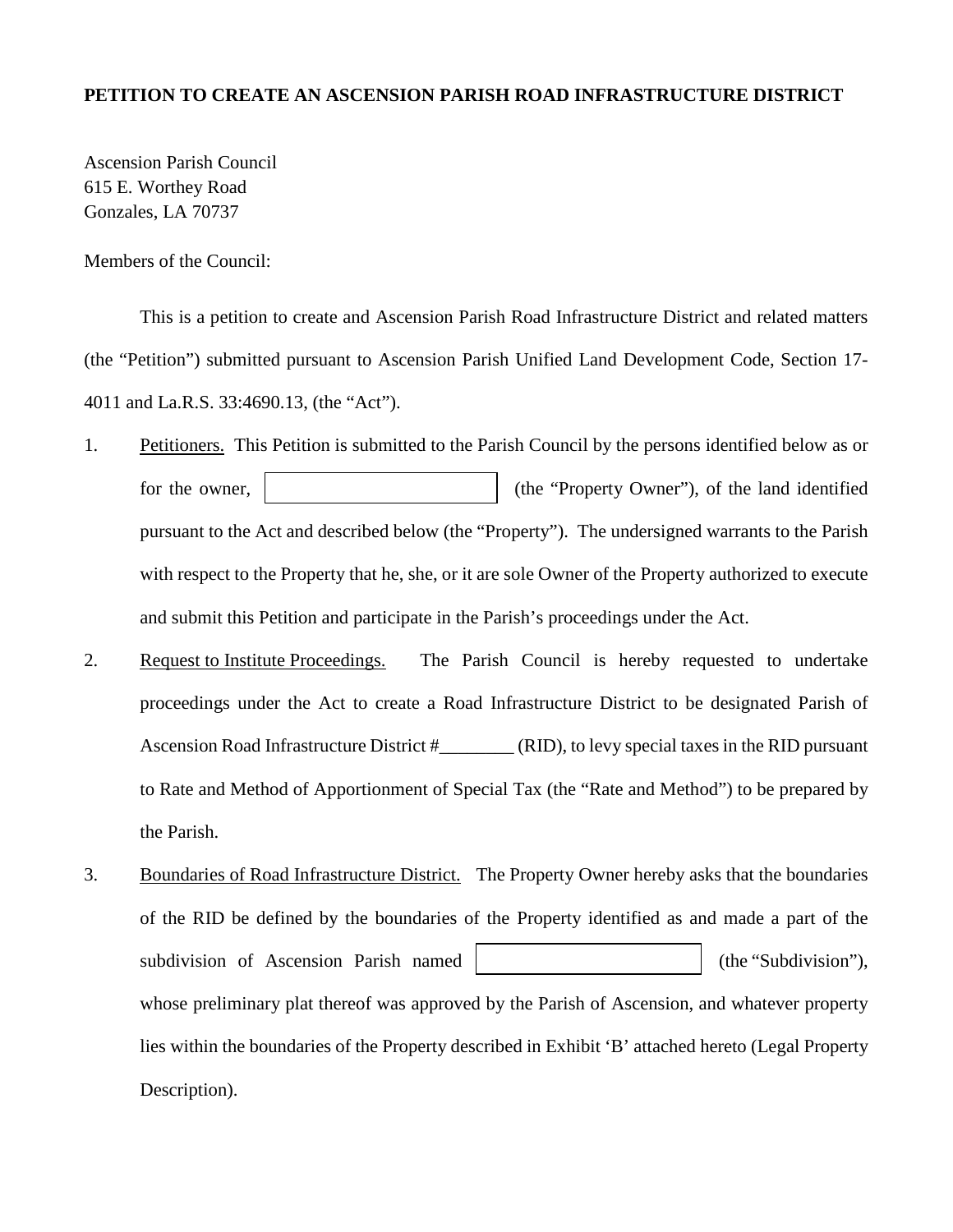#### **PETITION TO CREATE AN ASCENSION PARISH ROAD INFRASTRUCTURE DISTRICT**

Ascension Parish Council 615 E. Worthey Road Gonzales, LA 70737

Members of the Council:

This is a petition to create and Ascension Parish Road Infrastructure District and related matters (the "Petition") submitted pursuant to Ascension Parish Unified Land Development Code, Section 17- 4011 and La.R.S. 33:4690.13, (the "Act").

- 1. Petitioners. This Petition is submitted to the Parish Council by the persons identified below as or for the owner,  $\vert$  (the "Property Owner"), of the land identified pursuant to the Act and described below (the "Property"). The undersigned warrants to the Parish with respect to the Property that he, she, or it are sole Owner of the Property authorized to execute and submit this Petition and participate in the Parish's proceedings under the Act.
- 2. Request to Institute Proceedings. The Parish Council is hereby requested to undertake proceedings under the Act to create a Road Infrastructure District to be designated Parish of Ascension Road Infrastructure District # (RID), to levy special taxes in the RID pursuant to Rate and Method of Apportionment of Special Tax (the "Rate and Method") to be prepared by the Parish.
- 3. Boundaries of Road Infrastructure District. The Property Owner hereby asks that the boundaries of the RID be defined by the boundaries of the Property identified as and made a part of the subdivision of Ascension Parish named (the "Subdivision"), whose preliminary plat thereof was approved by the Parish of Ascension, and whatever property lies within the boundaries of the Property described in Exhibit 'B' attached hereto (Legal Property Description).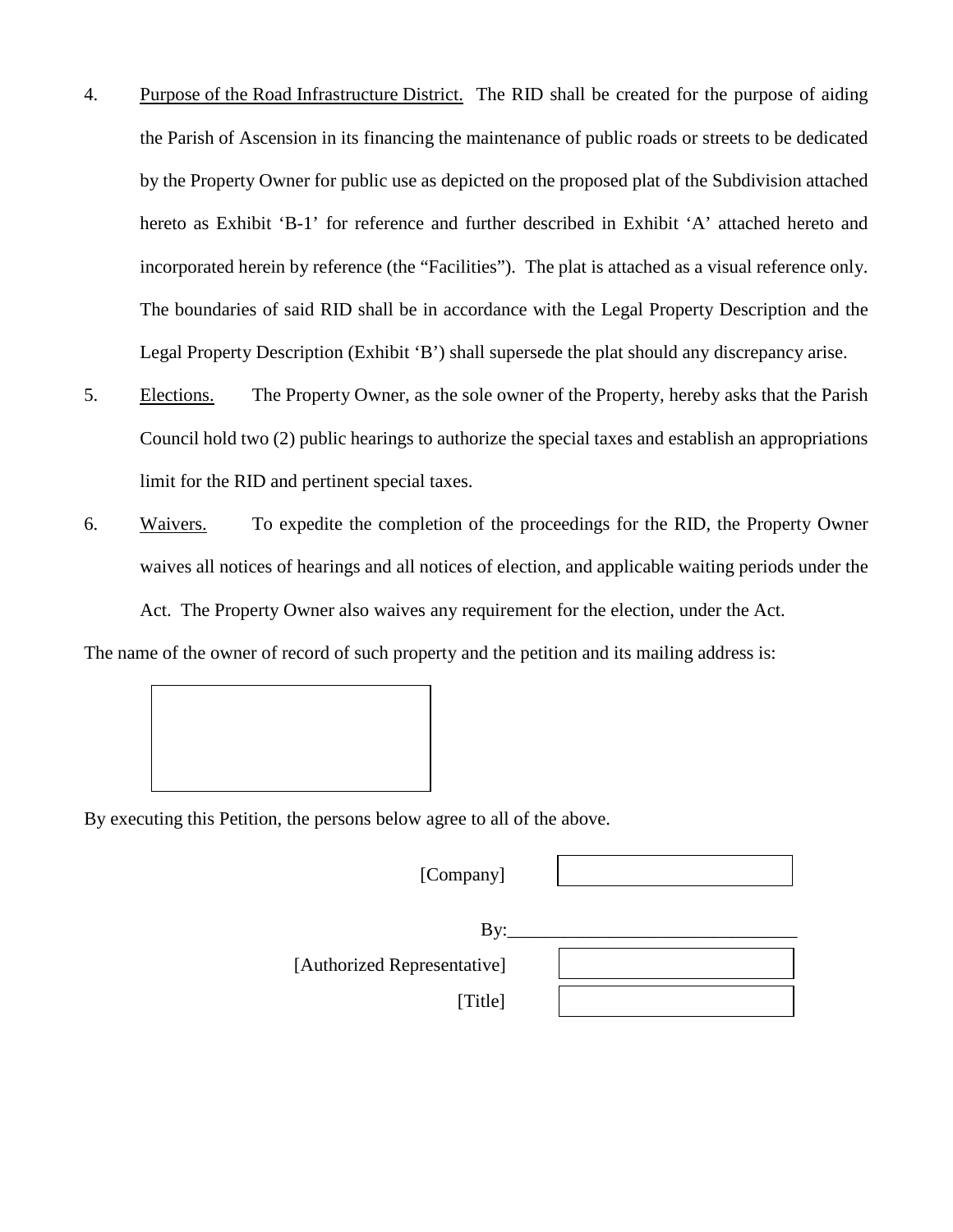- 4. Purpose of the Road Infrastructure District. The RID shall be created for the purpose of aiding the Parish of Ascension in its financing the maintenance of public roads or streets to be dedicated by the Property Owner for public use as depicted on the proposed plat of the Subdivision attached hereto as Exhibit 'B-1' for reference and further described in Exhibit 'A' attached hereto and incorporated herein by reference (the "Facilities"). The plat is attached as a visual reference only. The boundaries of said RID shall be in accordance with the Legal Property Description and the Legal Property Description (Exhibit 'B') shall supersede the plat should any discrepancy arise.
- 5. Elections. The Property Owner, as the sole owner of the Property, hereby asks that the Parish Council hold two (2) public hearings to authorize the special taxes and establish an appropriations limit for the RID and pertinent special taxes.
- 6. Waivers. To expedite the completion of the proceedings for the RID, the Property Owner waives all notices of hearings and all notices of election, and applicable waiting periods under the

Act. The Property Owner also waives any requirement for the election, under the Act.

The name of the owner of record of such property and the petition and its mailing address is:



By executing this Petition, the persons below agree to all of the above.

[Company]

| Bv:                         |
|-----------------------------|
| [Authorized Representative] |
| [Title]                     |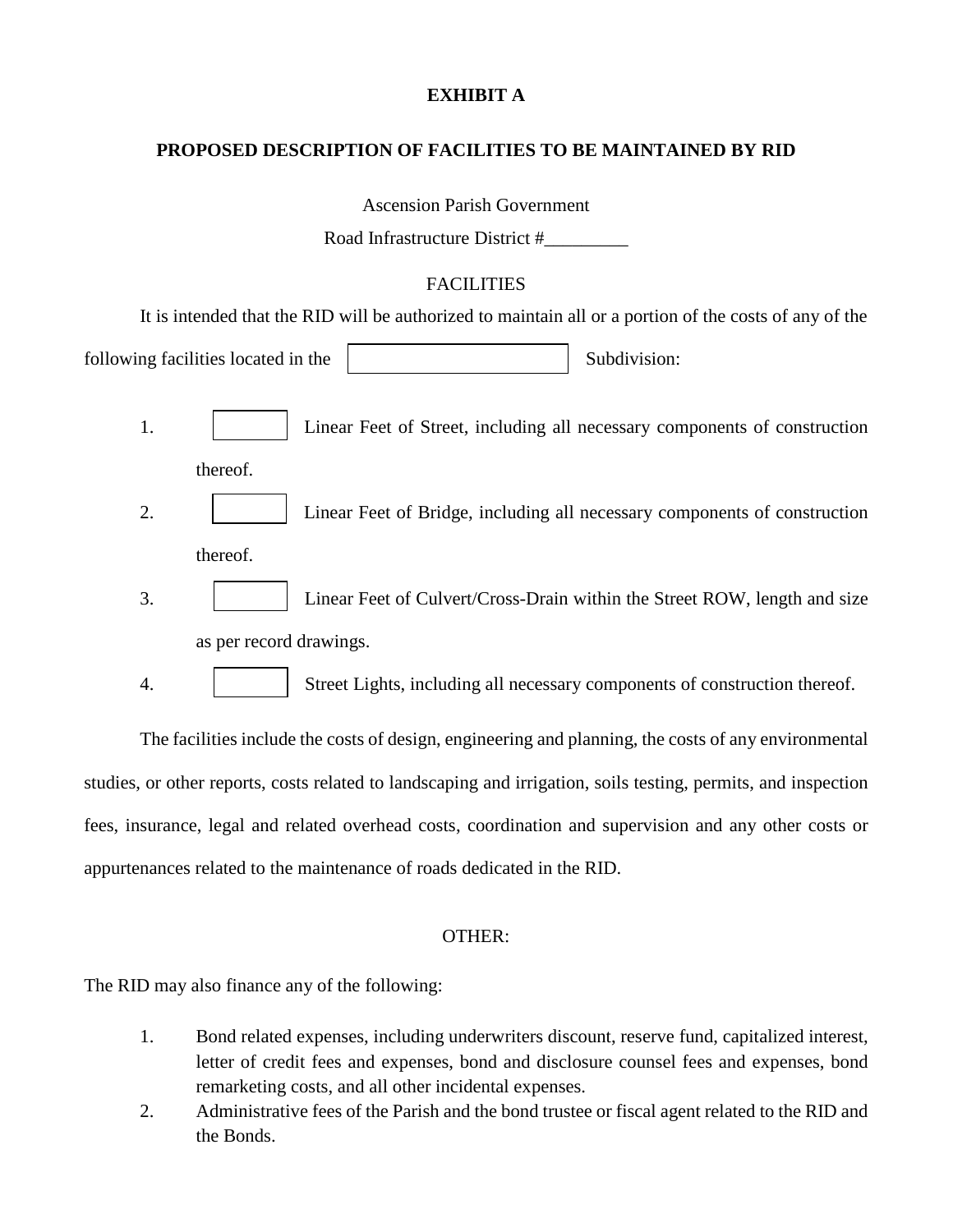#### **EXHIBIT A**

#### **PROPOSED DESCRIPTION OF FACILITIES TO BE MAINTAINED BY RID**

Ascension Parish Government

Road Infrastructure District #\_\_\_\_\_\_\_\_\_

### **FACILITIES**

It is intended that the RID will be authorized to maintain all or a portion of the costs of any of the

following facilities located in the Subdivision: Subdivision:

- 1. Linear Feet of Street, including all necessary components of construction thereof.
- 2. Linear Feet of Bridge, including all necessary components of construction thereof.
- 3. 1 | Linear Feet of Culvert/Cross-Drain within the Street ROW, length and size as per record drawings.

4. Street Lights, including all necessary components of construction thereof.

The facilities include the costs of design, engineering and planning, the costs of any environmental studies, or other reports, costs related to landscaping and irrigation, soils testing, permits, and inspection fees, insurance, legal and related overhead costs, coordination and supervision and any other costs or appurtenances related to the maintenance of roads dedicated in the RID.

#### OTHER:

The RID may also finance any of the following:

- 1. Bond related expenses, including underwriters discount, reserve fund, capitalized interest, letter of credit fees and expenses, bond and disclosure counsel fees and expenses, bond remarketing costs, and all other incidental expenses.
- 2. Administrative fees of the Parish and the bond trustee or fiscal agent related to the RID and the Bonds.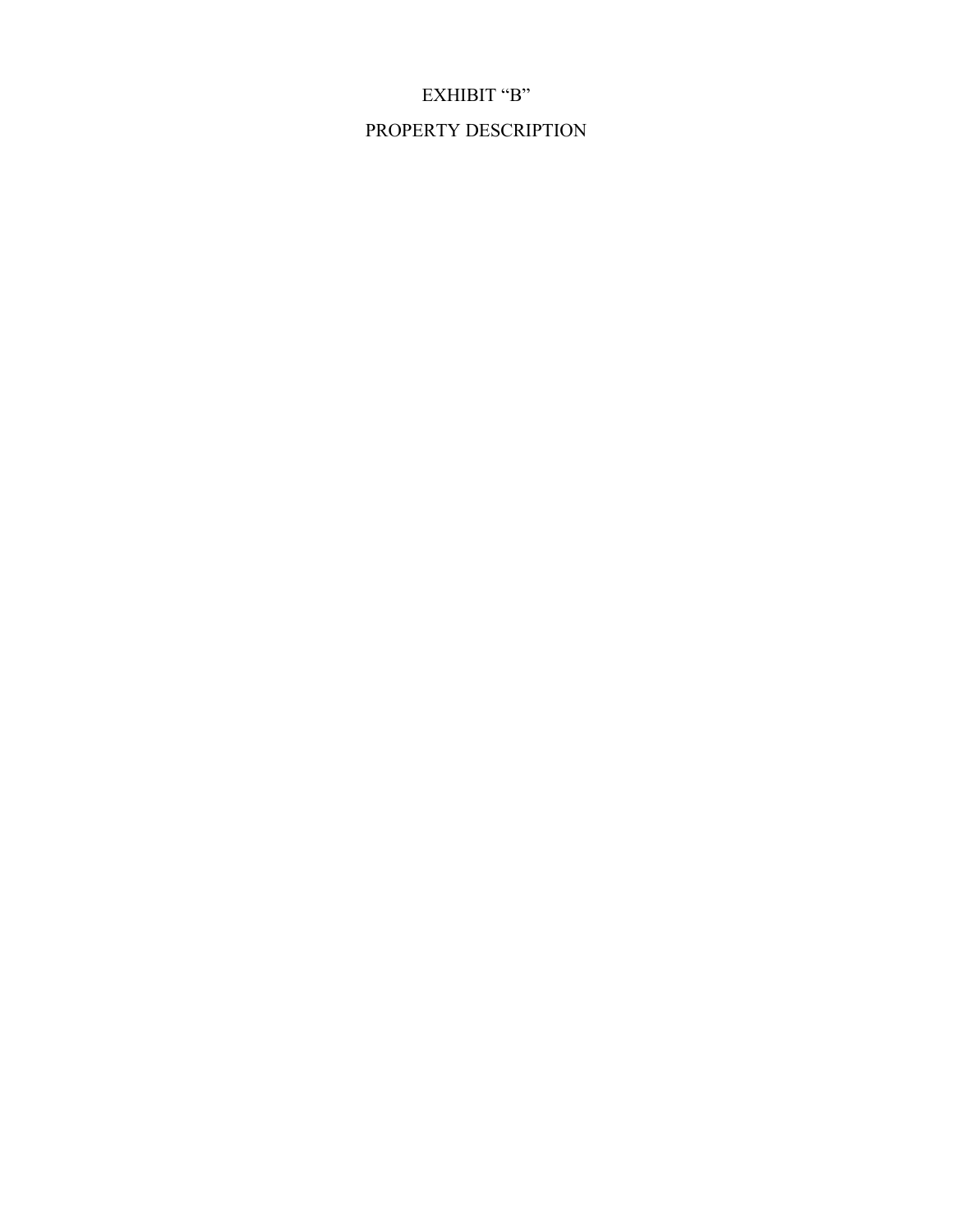# PROPERTY DESCRIPTION

EXHIBIT "B"